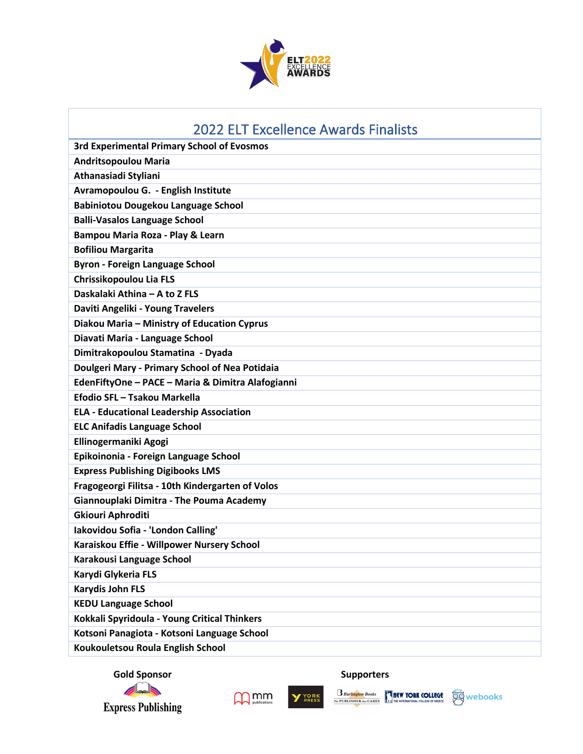

| <b>2022 ELT Excellence Awards Finalists</b>       |
|---------------------------------------------------|
| <b>3rd Experimental Primary School of Evosmos</b> |
| <b>Andritsopoulou Maria</b>                       |
| Athanasiadi Styliani                              |
| Avramopoulou G. - English Institute               |
| <b>Babiniotou Dougekou Language School</b>        |
| <b>Balli-Vasalos Language School</b>              |
| Bampou Maria Roza - Play & Learn                  |
| <b>Bofiliou Margarita</b>                         |
| <b>Byron - Foreign Language School</b>            |
| Chrissikopoulou Lia FLS                           |
| Daskalaki Athina - A to Z FLS                     |
| Daviti Angeliki - Young Travelers                 |
| Diakou Maria - Ministry of Education Cyprus       |
| Diavati Maria - Language School                   |
| Dimitrakopoulou Stamatina - Dyada                 |
| Doulgeri Mary - Primary School of Nea Potidaia    |
| EdenFiftyOne - PACE - Maria & Dimitra Alafogianni |
| Efodio SFL - Tsakou Markella                      |
| <b>ELA - Educational Leadership Association</b>   |
| <b>ELC Anifadis Language School</b>               |
| Ellinogermaniki Agogi                             |
| Epikoinonia - Foreign Language School             |
| <b>Express Publishing Digibooks LMS</b>           |
| Fragogeorgi Filitsa - 10th Kindergarten of Volos  |
| Giannouplaki Dimitra - The Pouma Academy          |
| <b>Gkiouri Aphroditi</b>                          |
| Iakovidou Sofia - 'London Calling'                |
| Karaiskou Effie - Willpower Nursery School        |
| Karakousi Language School                         |
| Karydi Glykeria FLS                               |
| <b>Karydis John FLS</b>                           |
| <b>KEDU Language School</b>                       |
| Kokkali Spyridoula - Young Critical Thinkers      |
| Kotsoni Panagiota - Kotsoni Language School       |
| Koukouletsou Roula English School                 |

**Gold Sponsor Supporters**<br> **Gold Sponsor Supporters** 





Y YORK